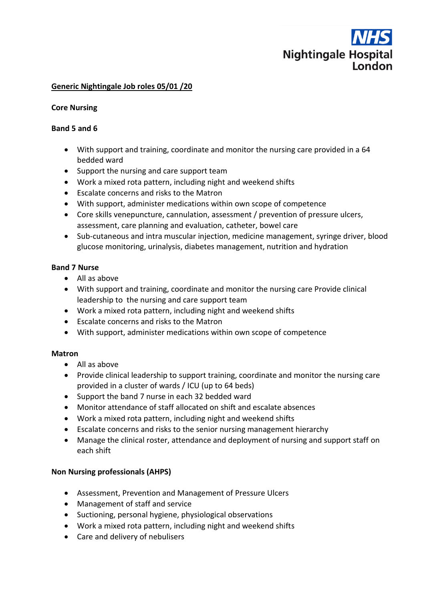

### **Generic Nightingale Job roles 05/01 /20**

#### **Core Nursing**

#### **Band 5 and 6**

- With support and training, coordinate and monitor the nursing care provided in a 64 bedded ward
- Support the nursing and care support team
- Work a mixed rota pattern, including night and weekend shifts
- Escalate concerns and risks to the Matron
- With support, administer medications within own scope of competence
- Core skills venepuncture, cannulation, assessment / prevention of pressure ulcers, assessment, care planning and evaluation, catheter, bowel care
- Sub-cutaneous and intra muscular injection, medicine management, syringe driver, blood glucose monitoring, urinalysis, diabetes management, nutrition and hydration

### **Band 7 Nurse**

- All as above
- With support and training, coordinate and monitor the nursing care Provide clinical leadership to the nursing and care support team
- Work a mixed rota pattern, including night and weekend shifts
- Escalate concerns and risks to the Matron
- With support, administer medications within own scope of competence

#### **Matron**

- All as above
- Provide clinical leadership to support training, coordinate and monitor the nursing care provided in a cluster of wards / ICU (up to 64 beds)
- Support the band 7 nurse in each 32 bedded ward
- Monitor attendance of staff allocated on shift and escalate absences
- Work a mixed rota pattern, including night and weekend shifts
- Escalate concerns and risks to the senior nursing management hierarchy
- Manage the clinical roster, attendance and deployment of nursing and support staff on each shift

## **Non Nursing professionals (AHPS)**

- Assessment, Prevention and Management of Pressure Ulcers
- Management of staff and service
- Suctioning, personal hygiene, physiological observations
- Work a mixed rota pattern, including night and weekend shifts
- Care and delivery of nebulisers